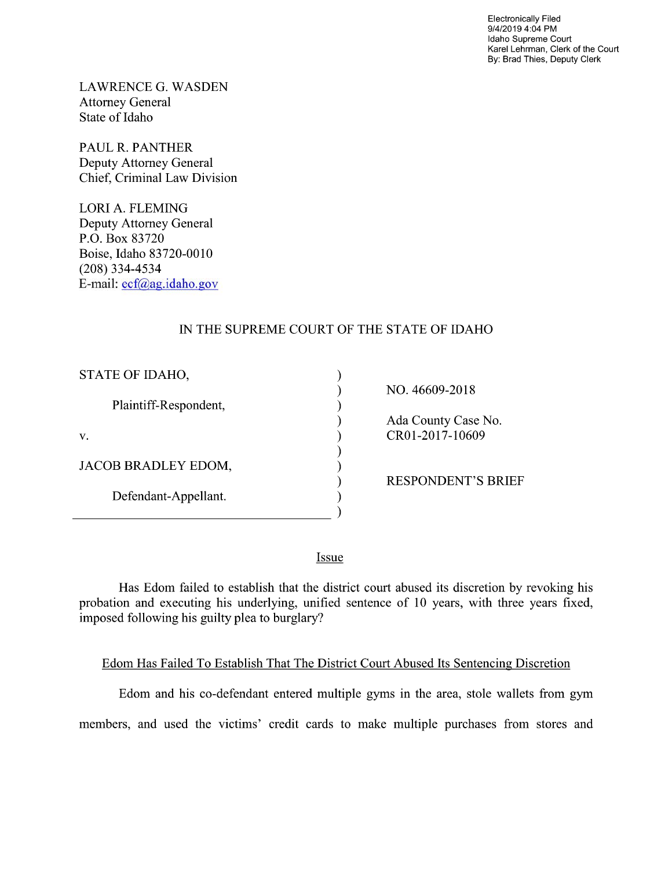Electronically Filed 9/4/2019 4:04 PM Idaho Supreme Court Karel Lehrman, Clerk of the Court By: Brad Thies, Deputy Clerk

LAWRENCE G. WASDEN Attorney General State of Idaho

PAUL R. PANTHER Deputy Attorney General Chief, Criminal Law Division

LORI A. FLEMING Deputy Attorney General P.O. Box 83720 Boise, Idaho 83720-0010 (208) 334—4534 E—mail: ecf@ag.idah0.gov

## IN THE SUPREME COURT OF THE STATE OF IDAHO

| STATE OF IDAHO,       |                           |
|-----------------------|---------------------------|
|                       | NO. 46609-2018            |
| Plaintiff-Respondent, |                           |
|                       | Ada County Case No.       |
| V.                    | CR01-2017-10609           |
|                       |                           |
| JACOB BRADLEY EDOM,   |                           |
|                       | <b>RESPONDENT'S BRIEF</b> |
| Defendant-Appellant.  |                           |
|                       |                           |
|                       |                           |

**Issue** 

Has Edom failed to establish that the district court abused its discretion by revoking his probation and executing his underlying, unified sentence 0f 10 years, with three years fixed, imposed following his guilty plea to burglary?

## Edom Has Failed To Establish That The District Court Abused Its Sentencing Discretion

Edom and his co-defendant entered multiple gyms in the area, stole wallets from gym members, and used the victims' credit cards to make multiple purchases from stores and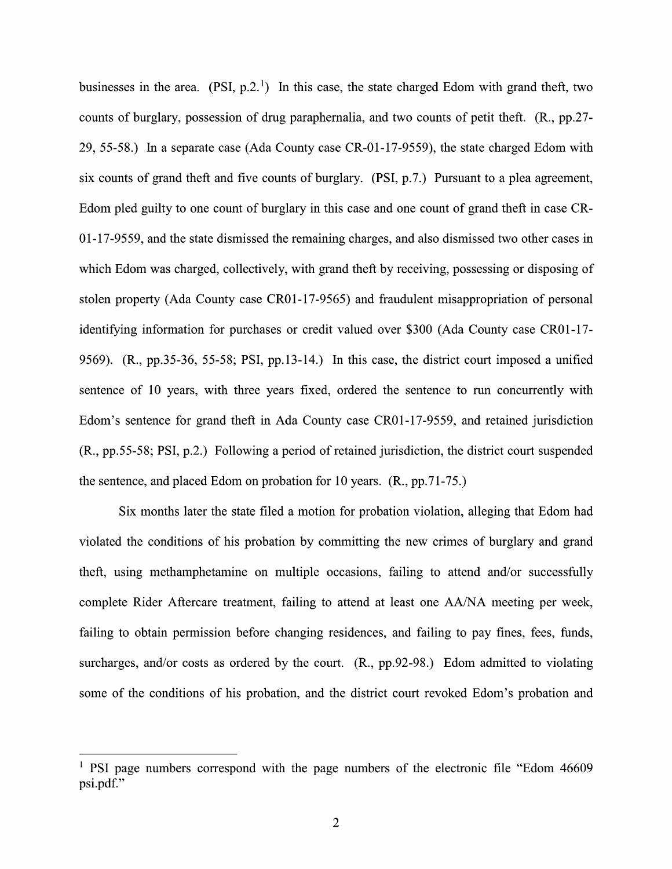businesses in the area. (PSI,  $p.2<sup>1</sup>$ ) In this case, the state charged Edom with grand theft, two counts 0f burglary, possession of drug paraphernalia, and two counts 0f petit theft. (R., pp.27- 29, 55-58.) In separate case (Ada County case CR-01-17-9559), the state charged Edom with six counts of grand theft and five counts of burglary.  $(PSI, p.7)$  Pursuant to a plea agreement, Edom pled guilty to one count of burglary in this case and one count of grand theft in case CR-01-17-9559, and the state dismissed the remaining charges, and also dismissed two other cases in which Edom was charged, collectively, with grand theft by receiving, possessing or disposing of stolen property (Ada County case CR01-17-9565) and fraudulent misappropriation 0f personal identifying information for purchases 0r credit valued over \$300 (Ada County case CR01-17- 9569).  $(R., pp.35-36, 55-58; PSI, pp.13-14.)$  In this case, the district court imposed a unified sentence of 10 years, with three years fixed, ordered the sentence to run concurrently with Edom's sentence for grand theft in Ada County case CR01-17-9559, and retained jurisdiction  $(R., pp.55-58; PSI, p.2.)$  Following a period of retained jurisdiction, the district court suspended the sentence, and placed Edom 0n probation for 10 years. (R., pp.71-75.)

Six months later the state filed a motion for probation violation, alleging that Edom had violated the conditions 0f his probation by committing the new crimes of burglary and grand theft, using methamphetamine on multiple occasions, failing to attend and/or successfully complete Rider Aftercare treatment, failing to attend at least one AA/NA meeting per week, failing to obtain permission before changing residences, and failing to pay fines, fees, funds, surcharges, and/or costs as ordered by the court.  $(R., pp.92-98.)$  Edom admitted to violating some of the conditions of his probation, and the district court revoked Edom's probation and

<sup>&</sup>lt;sup>1</sup> PSI page numbers correspond with the page numbers of the electronic file "Edom 46609" psi.pdf."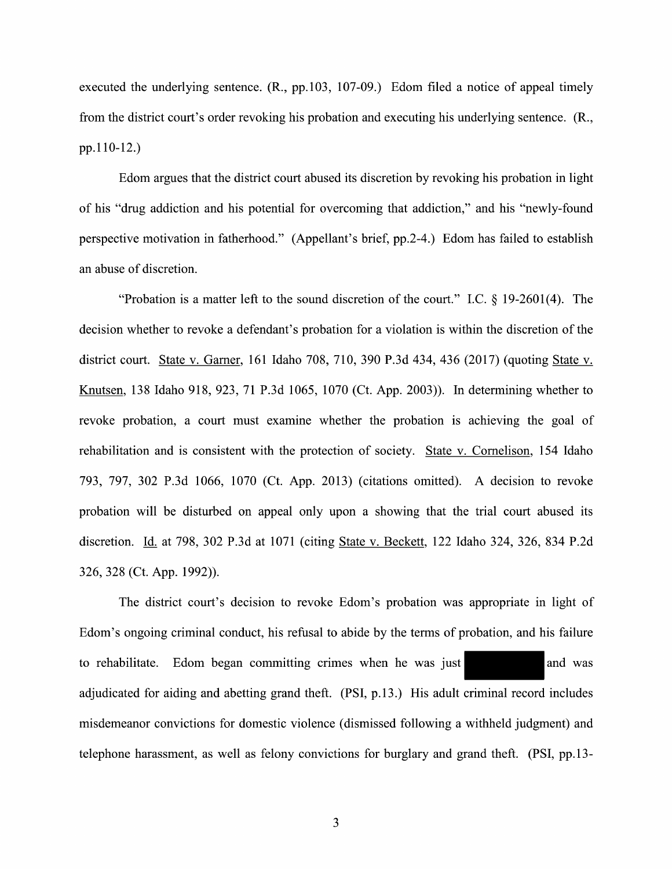executed the underlying sentence.  $(R., pp.103, 107-09.)$  Edom filed a notice of appeal timely from the district court's order revoking his probation and executing his underlying sentence. (R., pp.1 10-12.)

Edom argues that the district court abused its discretion by revoking his probation in light 0f his "drug addiction and his potential for overcoming that addiction," and his "newly-found perspective motivation in fatherhood." (Appellant's brief, pp.2-4.) Edom has failed to establish an abuse of discretion.

"Probation is a matter left to the sound discretion of the court." I.C.  $\S$  19-2601(4). The decision whether to revoke a defendant's probation for a violation is within the discretion of the district court. State v. Garner, 161 Idaho 708, 710, 390 P.3d 434, 436 (2017) (quoting State v.<br>Knutsen, 138 Idaho 918, 923, 71 P.3d 1065, 1070 (Ct. App. 2003)). In determining whether to revoke probation, a court must examine whether the probation is achieving the goal of rehabilitation and is consistent with the protection of society. State v. Cornelison, 154 Idaho 793, 797, 302 P.3d 1066, 1070 (Ct. App. 2013) (citations omitted). A decision to revoke probation will be disturbed on appeal only upon a showing that the trial court abused its discretion. Id. at 798, 302 P.3d at 1071 (citing State v. Beckett, 122 Idaho 324, 326, 834 P.2d 326, 328 (Ct. App. 1992)).

The district court's decision to revoke Edom's probation was appropriate in light of Edom's ongoing criminal conduct, his refusal to abide by the terms of probation, and his failure to rehabilitate. Edom began committing crimes when he was just adjudicated for aiding and abetting grand theft. (PSI, p.13.) His adult criminal record includes misdemeanor convictions for domestic violence (dismissed following a withheld judgment) and telephone harassment, as well as felony convictions for burglary and grand theft. (PSI, pp.13-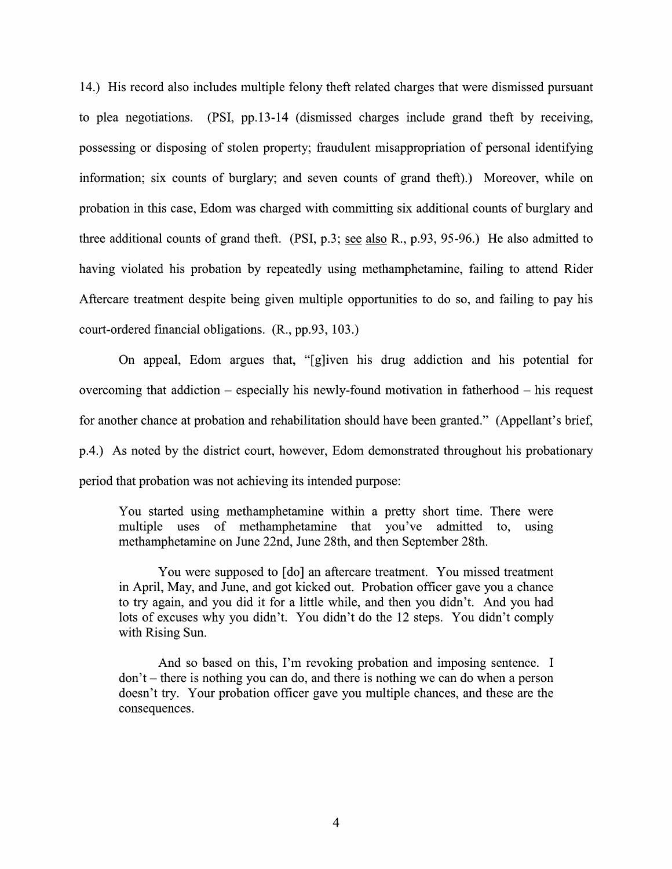14.) His record also includes multiple felony theft related charges that were dismissed pursuant to plea negotiations. (PSI, pp.13-14 (dismissed charges include grand theft by receiving, possessing 0r disposing 0f stolen property; fraudulent misappropriation of personal identifying information; six counts of burglary; and seven counts of grand theft).) Moreover, while on probation in this case, Edom was charged with committing six additional counts 0f burglary and three additional counts of grand theft. (PSI, p.3; see also R., p.93, 95-96.) He also admitted to having violated his probation by repeatedly using methamphetamine, failing to attend Rider Aftercare treatment despite being given multiple opportunities to do so, and failing to pay his court-ordered financial obligations. (R., pp.93, 103.)

On appeal, Edom argues that, "[g]iven his drug addiction and his potential for overcoming that addiction  $-$  especially his newly-found motivation in fatherhood  $-$  his request for another chance at probation and rehabilitation should have been granted." (Appellant's brief, p.4.) As noted by the district court, however, Edom demonstrated throughout his probationary period that probation was not achieving its intended purpose:

You started using methamphetamine within a pretty short time. There were multiple uses of methamphetamine that you've admitted to, using methamphetamine on June 22nd, June 28th, and then September 28th.

You were supposed to [do] an aftercare treatment. You missed treatment in April, May, and June, and got kicked out. Probation officer gave you a chance to try again, and you did it for a little while, and then you didn't. And you had lots 0f excuses Why you didn't. You didn't do the <sup>12</sup> steps. You didn't comply with Rising Sun.

And so based on this, I'm revoking probation and imposing sentence. I  $don't$  – there is nothing you can do, and there is nothing we can do when a person doesn't try. Your probation officer gave you multiple chances, and these are the consequences.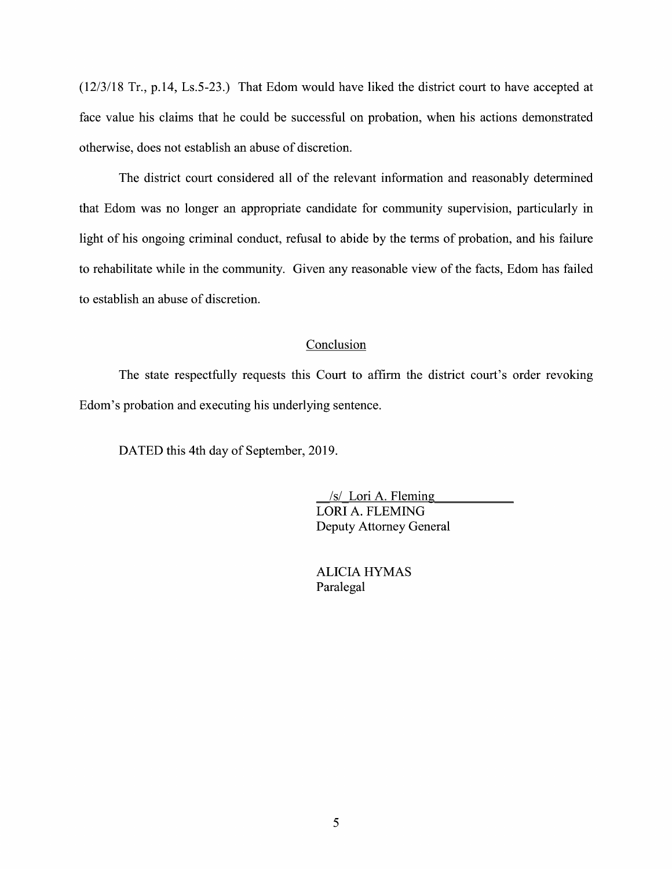$(12/3/18$  Tr., p.14, Ls.5-23.) That Edom would have liked the district court to have accepted at face value his claims that he could be successful on probation, When his actions demonstrated otherwise, does not establish an abuse 0f discretion.

The district court considered all 0f the relevant information and reasonably determined that Edom was no longer an appropriate candidate for community supervision, particularly in light of his ongoing criminal conduct, refusal to abide by the terms of probation, and his failure to rehabilitate while in the community. Given any reasonable View of the facts, Edom has failed to establish an abuse of discretion.

## Conclusion

The state respectfully requests this Court to affirm the district court's order revoking Edom's probation and executing his underlying sentence.

DATED this 4th day of September, 2019.

 $/s/L$ ori A. Fleming LORI A. FLEMING Deputy Attorney General

ALICIA HYMAS Paralegal